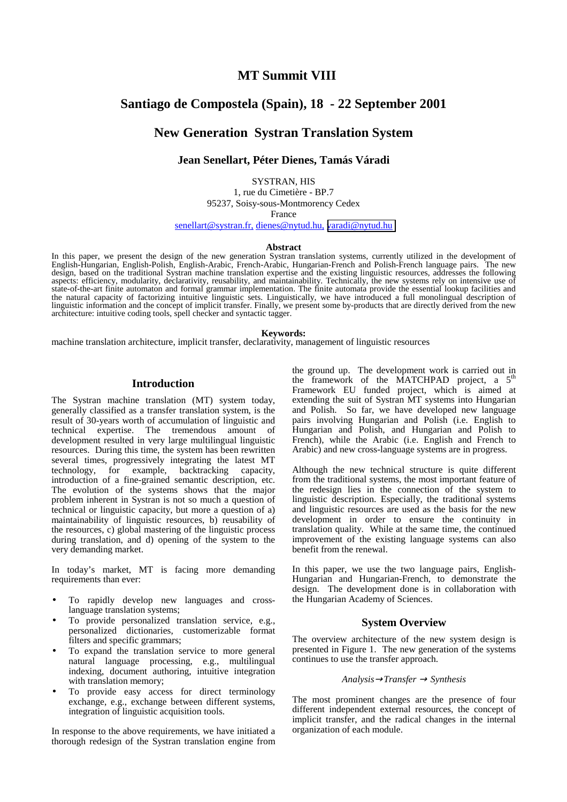## **MT Summit VIII**

# **Santiago de Compostela (Spain), 18 - 22 September 2001**

# **New Generation Systran Translation System**

## **Jean Senellart, Péter Dienes, Tamás Váradi**

SYSTRAN, HIS

1, rue du Cimetière - BP.7 95237, Soisy-sous-Montmorency Cedex

France

senellart@systran.fr, dienes@nytud.hu, [varadi@nytud.hu](mailto:varadi@nytud.hu)

#### **Abstract**

In this paper, we present the design of the new generation Systran translation systems, currently utilized in the development of English-Hungarian, English-Polish, English-Arabic, French-Arabic, Hungarian-French and Polish-French language pairs. The new design, based on the traditional Systran machine translation expertise and the existing linguistic resources, addresses the following aspects: efficiency, modularity, declarativity, reusability, and maintainability. Technically, the new systems rely on intensive use of state-of-the-art finite automaton and formal grammar implementation. The finite automata provide the essential lookup facilities and the natural capacity of factorizing intuitive linguistic sets. Linguistically, we have introduced a full monolingual description of linguistic information and the concept of implicit transfer. Finally, we present some by-products that are directly derived from the new architecture: intuitive coding tools, spell checker and syntactic tagger.

#### **Keywords:**

machine translation architecture, implicit transfer, declarativity, management of linguistic resources

## **Introduction**

The Systran machine translation (MT) system today, generally classified as a transfer translation system, is the result of 30-years worth of accumulation of linguistic and technical expertise. The tremendous amount of development resulted in very large multilingual linguistic resources. During this time, the system has been rewritten several times, progressively integrating the latest MT technology, for example, backtracking capacity, introduction of a fine-grained semantic description, etc. The evolution of the systems shows that the major problem inherent in Systran is not so much a question of technical or linguistic capacity, but more a question of a) maintainability of linguistic resources, b) reusability of the resources, c) global mastering of the linguistic process during translation, and d) opening of the system to the very demanding market.

In today's market, MT is facing more demanding requirements than ever:

- To rapidly develop new languages and crosslanguage translation systems;
- To provide personalized translation service, e.g., personalized dictionaries, customerizable format filters and specific grammars;
- To expand the translation service to more general natural language processing, e.g., multilingual indexing, document authoring, intuitive integration with translation memory;
- To provide easy access for direct terminology exchange, e.g., exchange between different systems, integration of linguistic acquisition tools.

In response to the above requirements, we have initiated a thorough redesign of the Systran translation engine from the ground up. The development work is carried out in the framework of the MATCHPAD project, a  $5<sup>th</sup>$ Framework EU funded project, which is aimed at extending the suit of Systran MT systems into Hungarian and Polish. So far, we have developed new language pairs involving Hungarian and Polish (i.e. English to Hungarian and Polish, and Hungarian and Polish to French), while the Arabic (i.e. English and French to Arabic) and new cross-language systems are in progress.

Although the new technical structure is quite different from the traditional systems, the most important feature of the redesign lies in the connection of the system to linguistic description. Especially, the traditional systems and linguistic resources are used as the basis for the new development in order to ensure the continuity in translation quality. While at the same time, the continued improvement of the existing language systems can also benefit from the renewal.

In this paper, we use the two language pairs, English-Hungarian and Hungarian-French, to demonstrate the design. The development done is in collaboration with the Hungarian Academy of Sciences.

## **System Overview**

The overview architecture of the new system design is presented in Figure 1. The new generation of the systems continues to use the transfer approach.

#### *Analysis*→*Transfer* → *Synthesis*

The most prominent changes are the presence of four different independent external resources, the concept of implicit transfer, and the radical changes in the internal organization of each module.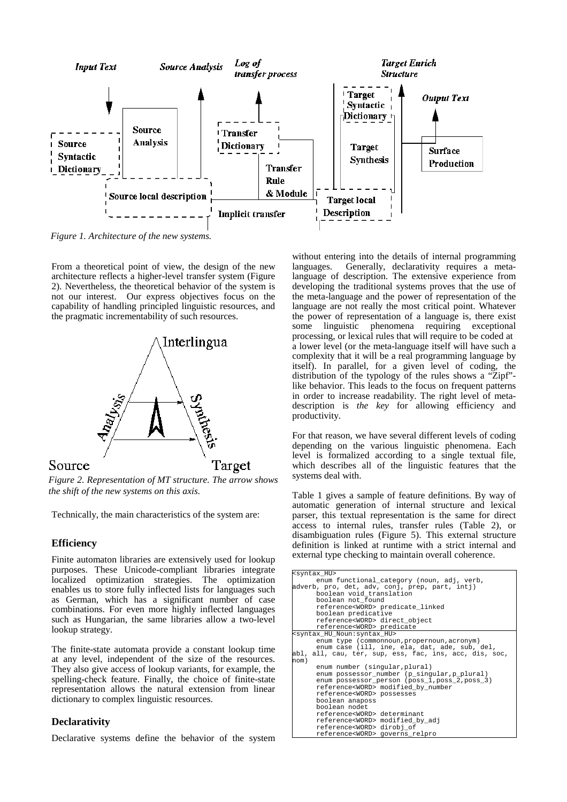

*Figure 1. Architecture of the new systems.*

From a theoretical point of view, the design of the new architecture reflects a higher-level transfer system (Figure 2). Nevertheless, the theoretical behavior of the system is not our interest. Our express objectives focus on the capability of handling principled linguistic resources, and the pragmatic incrementability of such resources.



*Figure 2. Representation of MT structure. The arrow shows the shift of the new systems on this axis.*

Technically, the main characteristics of the system are:

## **Efficiency**

Finite automaton libraries are extensively used for lookup purposes. These Unicode-compliant libraries integrate localized optimization strategies. The optimization enables us to store fully inflected lists for languages such as German, which has a significant number of case combinations. For even more highly inflected languages such as Hungarian, the same libraries allow a two-level lookup strategy.

The finite-state automata provide a constant lookup time at any level, independent of the size of the resources. They also give access of lookup variants, for example, the spelling-check feature. Finally, the choice of finite-state representation allows the natural extension from linear dictionary to complex linguistic resources.

## **Declarativity**

Declarative systems define the behavior of the system

without entering into the details of internal programming languages. Generally, declarativity requires a metalanguage of description. The extensive experience from developing the traditional systems proves that the use of the meta-language and the power of representation of the language are not really the most critical point. Whatever the power of representation of a language is, there exist some linguistic phenomena requiring exceptional processing, or lexical rules that will require to be coded at a lower level (or the meta-language itself will have such a complexity that it will be a real programming language by itself). In parallel, for a given level of coding, the distribution of the typology of the rules shows a "Zipf" like behavior. This leads to the focus on frequent patterns in order to increase readability. The right level of metadescription is *the key* for allowing efficiency and productivity.

For that reason, we have several different levels of coding depending on the various linguistic phenomena. Each level is formalized according to a single textual file, which describes all of the linguistic features that the systems deal with.

Table 1 gives a sample of feature definitions. By way of automatic generation of internal structure and lexical parser, this textual representation is the same for direct access to internal rules, transfer rules (Table 2), or disambiguation rules (Figure 5). This external structure definition is linked at runtime with a strict internal and external type checking to maintain overall coherence.

| <syntax_hu></syntax_hu>                                |
|--------------------------------------------------------|
| enum functional_category (noun, adj, verb,             |
| adverb, pro, det, adv, conj, prep, part, intj)         |
| boolean void translation                               |
| boolean not found                                      |
| reference <word> predicate linked</word>               |
| boolean predicative                                    |
| reference <word> direct object</word>                  |
| reference <word> predicate</word>                      |
| <syntax hu="" noun:="" syntax=""></syntax>             |
| enum type (commonnoun, propernoun, acronym)            |
| enum case (ill, ine, ela, dat, ade, sub, del,          |
| abl, all, cau, ter, sup, ess, fac, ins, acc, dis, soc, |
| nom)                                                   |
| enum number (singular, plural)                         |
| enum possessor number (p singular, p plural)           |
| enum possessor person (poss 1, poss 2, poss 3)         |
| reference <word> modified by number</word>             |
| reference <word> possesses</word>                      |
| boolean anaposs                                        |
| boolean nodet                                          |
| reference <word> determinant</word>                    |
| reference <word> modified by adj</word>                |
| reference <word> dirobj of</word>                      |
| reference <word> governs relpro</word>                 |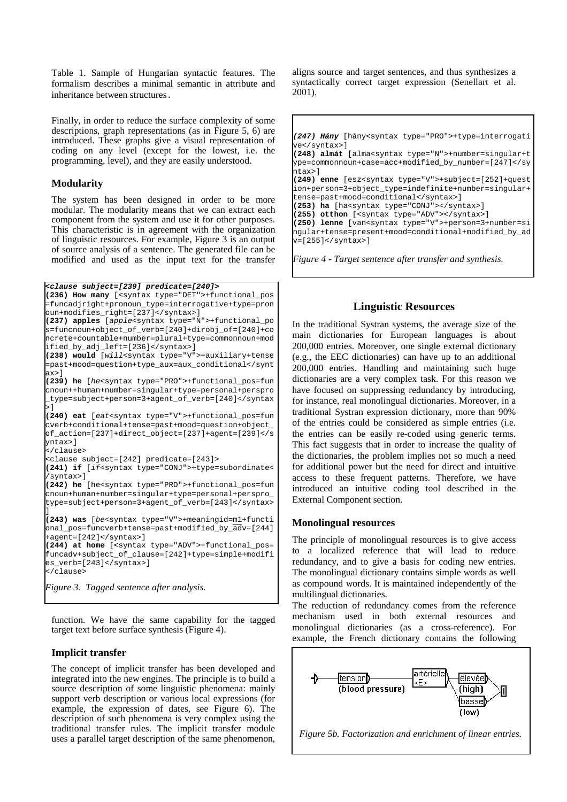Table 1. Sample of Hungarian syntactic features. The formalism describes a minimal semantic in attribute and inheritance between structures.

Finally, in order to reduce the surface complexity of some descriptions, graph representations (as in Figure 5, 6) are introduced. These graphs give a visual representation of coding on any level (except for the lowest, i.e. the programming, level), and they are easily understood.

## **Modularity**

The system has been designed in order to be more modular. The modularity means that we can extract each component from the system and use it for other purposes. This characteristic is in agreement with the organization of linguistic resources. For example, Figure 3 is an output of source analysis of a sentence. The generated file can be modified and used as the input text for the transfer

```
<clause subject=[239] predicate=[240]>
```

```
(236) How many [<syntax type="DET">+functional_pos
=funcadjright+pronoun_type=interrogative+type=pron
oun+modifies_right=[237]</syntax>]
(237) apples [apple<syntax type="N">+functional_po
s=funcnoun+object_of_verb=[240]+dirobj_of=[240]+co
ncrete+countable+number=plural+type=commonnoun+mod
ified_by_adj_left=[236]</syntax>]
(238) would [will<syntax type="V">+auxiliary+tense
=past+mood=question+type_aux=aux_conditional</synt
ax>]
(239) he [he<syntax type="PRO">+functional_pos=fun
cnoun++human+number=singular+type=personal+perspro
_type=subject+person=3+agent_of_verb=[240]</syntax
>]
(240) eat [eat<syntax type="V">+functional_pos=fun
cverb+conditional+tense=past+mood=question+object_
of_action=[237]+direct_object=[237]+agent=[239]</s
yntax>]
</clause>
<clause subject=[242] predicate=[243]>
(241) if [if<syntax type="CONJ">+type=subordinate<
/syntax>]
(242) he [he<syntax type="PRO">+functional_pos=fun
cnoun+human+number=singular+type=personal+perspro_
type=subject+person=3+agent_of_verb=[243]</syntax>
]
(243) was [be<syntax type="V">+meaningid=m1+functi
onal_pos=funcverb+tense=past+modified_by_adv=[244]
+agent=[242]</syntax>]
(244) at home [<syntax type="ADV">+functional_pos=
funcadv+subject_of_clause=[242]+type=simple+modifi
es_verb=[243]</syntax>]
</clause>
Figure 3. Tagged sentence after analysis.
```
function. We have the same capability for the tagged target text before surface synthesis (Figure 4).

## **Implicit transfer**

The concept of implicit transfer has been developed and integrated into the new engines. The principle is to build a source description of some linguistic phenomena: mainly support verb description or various local expressions (for example, the expression of dates, see Figure 6). The description of such phenomena is very complex using the traditional transfer rules. The implicit transfer module uses a parallel target description of the same phenomenon,

aligns source and target sentences, and thus synthesizes a syntactically correct target expression (Senellart et al. 2001).

```
(247) Hány [hány<syntax type="PRO">+type=interrogati
ve</syntax>]
(248) almát [alma<syntax type="N">+number=singular+t
ype=commonnoun+case=acc+modified_by_number=[247]</sy
--<br>ntax>l
(249) enne [esz<syntax type="V">+subject=[252]+quest
ion+person=3+object_type=indefinite+number=singular+
tense=past+mood=conditional</syntax>]
(253) ha [ha<syntax type="CONJ"></syntax>]
(255) otthon [<syntax type="ADV"></syntax>]
(250) lenne [van<syntax type="V">+person=3+number=si
ngular+tense=present+mood=conditional+modified_by_ad
v=[255]</syntax>]
Figure 4 - Target sentence after transfer and synthesis.
```
## **Linguistic Resources**

In the traditional Systran systems, the average size of the main dictionaries for European languages is about 200,000 entries. Moreover, one single external dictionary (e.g., the EEC dictionaries) can have up to an additional 200,000 entries. Handling and maintaining such huge dictionaries are a very complex task. For this reason we have focused on suppressing redundancy by introducing, for instance, real monolingual dictionaries. Moreover, in a traditional Systran expression dictionary, more than 90% of the entries could be considered as simple entries (i.e. the entries can be easily re-coded using generic terms. This fact suggests that in order to increase the quality of the dictionaries, the problem implies not so much a need for additional power but the need for direct and intuitive access to these frequent patterns. Therefore, we have introduced an intuitive coding tool described in the External Component section.

## **Monolingual resources**

The principle of monolingual resources is to give access to a localized reference that will lead to reduce redundancy, and to give a basis for coding new entries. The monolingual dictionary contains simple words as well as compound words. It is maintained independently of the multilingual dictionaries.

The reduction of redundancy comes from the reference mechanism used in both external resources and monolingual dictionaries (as a cross-reference). For example, the French dictionary contains the following



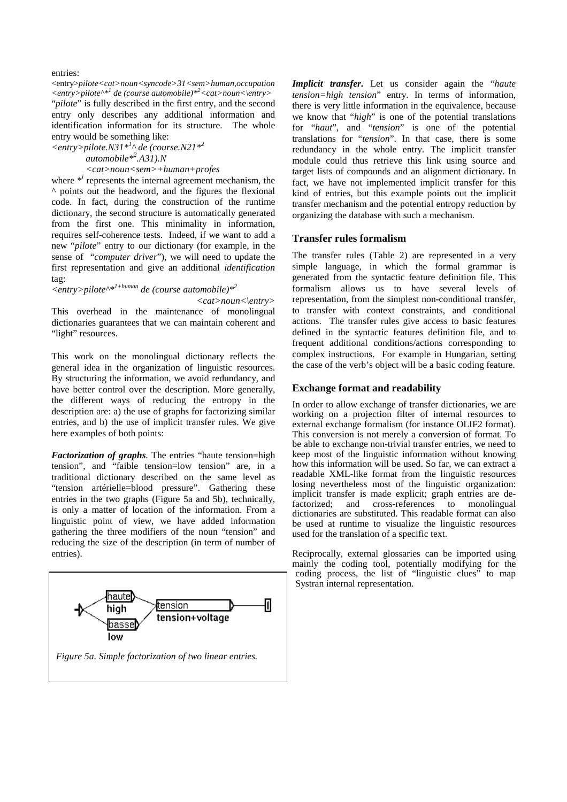entries:

<entry>*pilote<cat>noun<syncode>31<sem>human,occupation <entry>pilote^\*<sup>1</sup> de (course automobile)\*<sup>2</sup> <cat>noun<\entry>* "*pilote*" is fully described in the first entry, and the second entry only describes any additional information and identification information for its structure. The whole entry would be something like:

 $\langle$  entry>pilote.N31<sup>\*<sup>1</sup>^</sup> de (course.N21<sup>\*<sup>2</sup></sup> *automobile\*<sup>2</sup> .A31).N* 

## *<cat>noun<sem>+human+profes*

where \*<sup>*i*</sup> represents the internal agreement mechanism, the ^ points out the headword, and the figures the flexional code. In fact, during the construction of the runtime dictionary, the second structure is automatically generated from the first one. This minimality in information, requires self-coherence tests. Indeed, if we want to add a new "*pilote*" entry to our dictionary (for example, in the sense of "*computer driver*"), we will need to update the first representation and give an additional *identification* tag:

*<entry>pilote^\*1+human de (course automobile)\*2* 

*<cat>noun<\entry>*

This overhead in the maintenance of monolingual dictionaries guarantees that we can maintain coherent and "light" resources.

This work on the monolingual dictionary reflects the general idea in the organization of linguistic resources. By structuring the information, we avoid redundancy, and have better control over the description. More generally, the different ways of reducing the entropy in the description are: a) the use of graphs for factorizing similar entries, and b) the use of implicit transfer rules. We give here examples of both points:

*Factorization of graphs.* The entries "haute tension=high tension", and "faible tension=low tension" are, in a traditional dictionary described on the same level as "tension artérielle=blood pressure". Gathering these entries in the two graphs (Figure 5a and 5b), technically, is only a matter of location of the information. From a linguistic point of view, we have added information gathering the three modifiers of the noun "tension" and reducing the size of the description (in term of number of entries).



*Implicit transfer***.** Let us consider again the "*haute tension=high tension*" entry. In terms of information, there is very little information in the equivalence, because we know that "*high*" is one of the potential translations for "*haut*", and "*tension*" is one of the potential translations for "*tension*". In that case, there is some redundancy in the whole entry. The implicit transfer module could thus retrieve this link using source and target lists of compounds and an alignment dictionary. In fact, we have not implemented implicit transfer for this kind of entries, but this example points out the implicit transfer mechanism and the potential entropy reduction by organizing the database with such a mechanism.

#### **Transfer rules formalism**

The transfer rules (Table 2) are represented in a very simple language, in which the formal grammar is generated from the syntactic feature definition file. This formalism allows us to have several levels of representation, from the simplest non-conditional transfer, to transfer with context constraints, and conditional actions. The transfer rules give access to basic features defined in the syntactic features definition file, and to frequent additional conditions/actions corresponding to complex instructions. For example in Hungarian, setting the case of the verb's object will be a basic coding feature.

## **Exchange format and readability**

In order to allow exchange of transfer dictionaries, we are working on a projection filter of internal resources to external exchange formalism (for instance OLIF2 format). This conversion is not merely a conversion of format. To be able to exchange non-trivial transfer entries, we need to keep most of the linguistic information without knowing how this information will be used. So far, we can extract a readable XML-like format from the linguistic resources losing nevertheless most of the linguistic organization: implicit transfer is made explicit; graph entries are defactorized; and cross-references to monolingual dictionaries are substituted. This readable format can also be used at runtime to visualize the linguistic resources used for the translation of a specific text.

Reciprocally, external glossaries can be imported using mainly the coding tool, potentially modifying for the coding process, the list of "linguistic clues" to map Systran internal representation.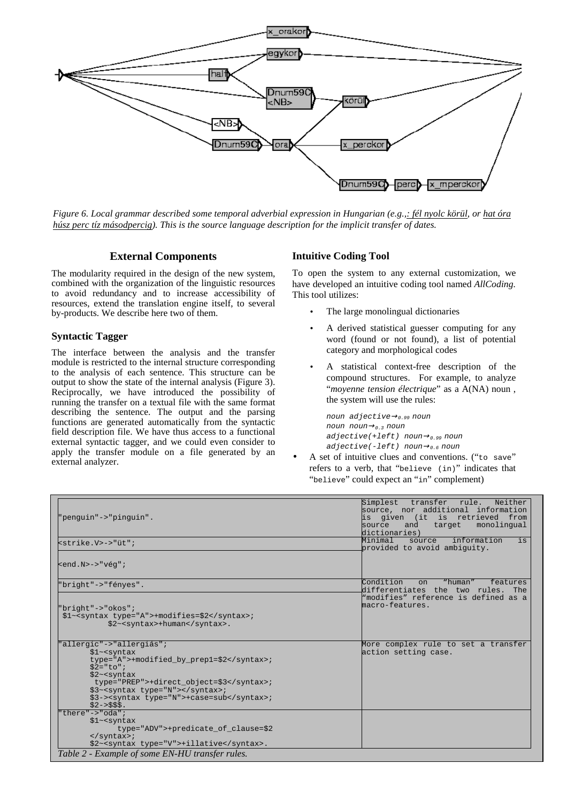

*Figure 6. Local grammar described some temporal adverbial expression in Hungarian (e.g.,: fél nyolc körül, or hat óra húsz perc tíz másodpercig). This is the source language description for the implicit transfer of dates.*

## **External Components**

The modularity required in the design of the new system, combined with the organization of the linguistic resources to avoid redundancy and to increase accessibility of resources, extend the translation engine itself, to several by-products. We describe here two of them.

#### **Syntactic Tagger**

The interface between the analysis and the transfer module is restricted to the internal structure corresponding to the analysis of each sentence. This structure can be output to show the state of the internal analysis (Figure 3). Reciprocally, we have introduced the possibility of running the transfer on a textual file with the same format describing the sentence. The output and the parsing functions are generated automatically from the syntactic field description file. We have thus access to a functional external syntactic tagger, and we could even consider to apply the transfer module on a file generated by an external analyzer.

#### **Intuitive Coding Tool**

To open the system to any external customization, we have developed an intuitive coding tool named *AllCoding.*  This tool utilizes:

- The large monolingual dictionaries
- A derived statistical guesser computing for any word (found or not found), a list of potential category and morphological codes
- A statistical context-free description of the compound structures. For example, to analyze "*moyenne tension électrique*" as a A(NA) noun , the system will use the rules:

```
noun adjective→0.99 noun
noun noun→0.3 noun
adjective(+left) noun\rightarrow<sub>0.99</sub> noun
adjective(-left) noun\rightarrow_{0.6} noun
```
A set of intuitive clues and conventions. ("to save" refers to a verb, that "believe (in)" indicates that "believe" could expect an "in" complement)

| "penguin"->"pinguin".                                                                                                                                                                                                                               | Simplest<br>transfer rule.<br>Neither<br>source, nor additional information<br>is given (it is retrieved from<br>monolingual<br>source<br>target<br>and<br>dictionaries) |
|-----------------------------------------------------------------------------------------------------------------------------------------------------------------------------------------------------------------------------------------------------|--------------------------------------------------------------------------------------------------------------------------------------------------------------------------|
| $\text{cstrike.V}\rightarrow\text{"üt"}$                                                                                                                                                                                                            | information<br>Minimal<br>is<br>source<br>provided to avoid ambiquity.                                                                                                   |
| $\leq$ end. N>->"véq";                                                                                                                                                                                                                              |                                                                                                                                                                          |
| "bright"->"fényes".                                                                                                                                                                                                                                 | Condition<br>"human"<br>features<br>$\Omega$<br>differentiates the two rules. The                                                                                        |
| "bright"->"okos";<br>\$1~ <syntax type="A">+modifies=\$2</syntax> ;<br>\$2~ <syntax>+human</syntax> .                                                                                                                                               | "modifies" reference is defined as a<br>macro-features.                                                                                                                  |
| "allergic"->"allergiás";<br>$$1~<$ syntax<br>type="A">+modified by prep1=\$2;<br>$$2 = "to"$<br>$$2~<$ syntax<br>type="PREP">+direct object=\$3;<br>\$3~ <syntax type="N"></syntax> ;<br>\$3-> <syntax type="N">+case=sub</syntax> ;<br>$$2->555$ . | More complex rule to set a transfer<br>action setting case.                                                                                                              |
| "there"->"oda";<br>$$1~<$ syntax<br>type="ADV">+predicate of clause=\$2<br>$\langle$ /syntax>;<br>\$2~ <syntax type="V">+illative</syntax> .<br>Table 2 - Example of some EN-HU transfer rules.                                                     |                                                                                                                                                                          |